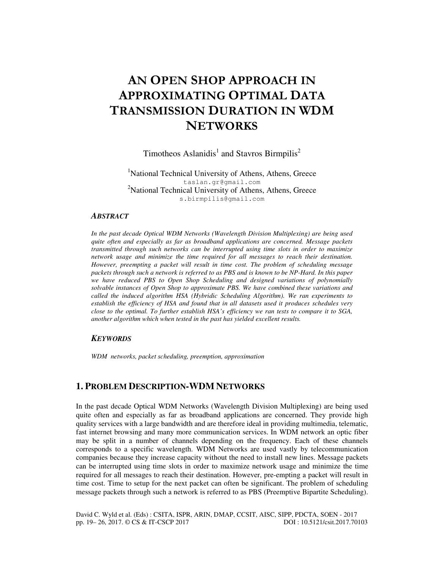# AN OPEN SHOP APPROACH IN APPROXIMATING OPTIMAL DATA TRANSMISSION DURATION IN WDM **NETWORKS**

Timotheos Aslanidis<sup>1</sup> and Stavros Birmpilis<sup>2</sup>

<sup>1</sup>National Technical University of Athens, Athens, Greece taslan.gr@gmail.com <sup>2</sup>National Technical University of Athens, Athens, Greece s.birmpilis@gmail.com

#### *ABSTRACT*

*In the past decade Optical WDM Networks (Wavelength Division Multiplexing) are being used quite often and especially as far as broadband applications are concerned. Message packets transmitted through such networks can be interrupted using time slots in order to maximize network usage and minimize the time required for all messages to reach their destination. However, preempting a packet will result in time cost. The problem of scheduling message packets through such a network is referred to as PBS and is known to be NP-Hard. In this paper we have reduced PBS to Open Shop Scheduling and designed variations of polynomially solvable instances of Open Shop to approximate PBS. We have combined these variations and called the induced algorithm HSA (Hybridic Scheduling Algorithm). We ran experiments to establish the efficiency of HSA and found that in all datasets used it produces schedules very close to the optimal. To further establish HSA's efficiency we ran tests to compare it to SGA, another algorithm which when tested in the past has yielded excellent results.* 

## *KEYWORDS*

*WDM networks, packet scheduling, preemption, approximation* 

## **1. PROBLEM DESCRIPTION-WDM NETWORKS**

In the past decade Optical WDM Networks (Wavelength Division Multiplexing) are being used quite often and especially as far as broadband applications are concerned. They provide high quality services with a large bandwidth and are therefore ideal in providing multimedia, telematic, fast internet browsing and many more communication services. In WDM network an optic fiber may be split in a number of channels depending on the frequency. Each of these channels corresponds to a specific wavelength. WDM Networks are used vastly by telecommunication companies because they increase capacity without the need to install new lines. Message packets can be interrupted using time slots in order to maximize network usage and minimize the time required for all messages to reach their destination. However, pre-empting a packet will result in time cost. Time to setup for the next packet can often be significant. The problem of scheduling message packets through such a network is referred to as PBS (Preemptive Bipartite Scheduling).

David C. Wyld et al. (Eds) : CSITA, ISPR, ARIN, DMAP, CCSIT, AISC, SIPP, PDCTA, SOEN - 2017 pp. 19– 26, 2017. © CS & IT-CSCP 2017 DOI : 10.5121/csit.2017.70103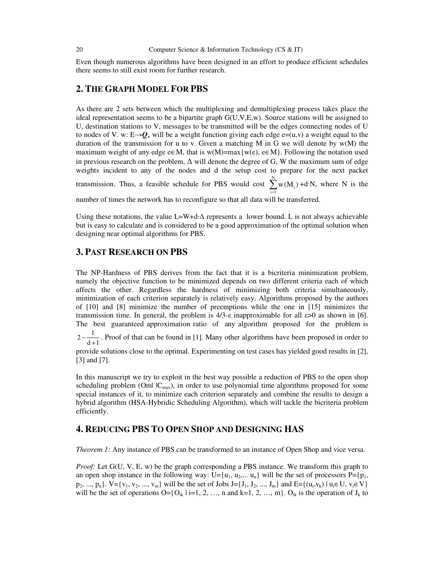Even though numerous algorithms have been designed in an effort to produce efficient schedules there seems to still exist room for further research.

## **2. THE GRAPH MODEL FOR PBS**

As there are 2 sets between which the multiplexing and demultiplexing process takes place the ideal representation seems to be a bipartite graph G(U,V,E,w). Source stations will be assigned to U, destination stations to V, messages to be transmitted will be the edges connecting nodes of U to nodes of V. w:  $E\rightarrow Q_+$  will be a weight function giving each edge e=(u,v) a weight equal to the duration of the transmission for u to v. Given a matching M in G we will denote by  $w(M)$  the maximum weight of any edge e∈M, that is w(M)=max{w(e), e∈M}. Following the notation used in previous research on the problem,  $\Delta$  will denote the degree of G, W the maximum sum of edge weights incident to any of the nodes and d the setup cost to prepare for the next packet transmission. Thus, a feasible schedule for PBS would cost  $\sum_{n=1}^{\infty}$  $\sum_{i=1}^{\infty}$  <sup>w</sup>  $(1^{n}I)$  $\sum_{i=1}^{N} w(M_i) + d \cdot N$ , where N is the

number of times the network has to reconfigure so that all data will be transferred.

Using these notations, the value L=W+d $\Delta$  represents a lower bound. L is not always achievable but is easy to calculate and is considered to be a good approximation of the optimal solution when designing near optimal algorithms for PBS.

## **3. PAST RESEARCH ON PBS**

The NP-Hardness of PBS derives from the fact that it is a bicriteria minimization problem, namely the objective function to be minimized depends on two different criteria each of which affects the other. Regardless the hardness of minimizing both criteria simultaneously, minimization of each criterion separately is relatively easy. Algorithms proposed by the authors of [10] and [8] minimize the number of preemptions while the one in [15] minimizes the transmission time. In general, the problem is  $4/3$ -ε inapproximable for all  $\varepsilon > 0$  as shown in [6]. The best guaranteed approximation ratio of any algorithm proposed for the problem is

 $2 - \frac{1}{d+1}$  $-\frac{1}{d+1}$ . Proof of that can be found in [1]. Many other algorithms have been proposed in order to

provide solutions close to the optimal. Experimenting on test cases has yielded good results in [2], [3] and [7].

In this manuscript we try to exploit in the best way possible a reduction of PBS to the open shop scheduling problem (Om $|C_{\text{max}}|$ ), in order to use polynomial time algorithms proposed for some special instances of it, to minimize each criterion separately and combine the results to design a hybrid algorithm (HSA-Hybridic Scheduling Algorithm), which will tackle the bicriteria problem efficiently.

## **4. REDUCING PBS TO OPEN SHOP AND DESIGNING HAS**

*Theorem 1:* Any instance of PBS can be transformed to an instance of Open Shop and vice versa.

*Proof:* Let G(U, V, E, w) be the graph corresponding a PBS instance. We transform this graph to an open shop instance in the following way: U={u<sub>1</sub>, u<sub>2</sub>,... u<sub>n</sub>} will be the set of processors P={p<sub>1</sub>,  $p_2, ..., p_n$ .  $V = \{v_1, v_2, ..., v_m\}$  will be the set of Jobs J={J<sub>1</sub>, J<sub>2</sub>, ..., J<sub>m</sub>} and E={(u<sub>i</sub>,v<sub>k</sub>) | u<sub>i</sub>∈ U, v<sub>i</sub>∈ V} will be the set of operations  $O=\{O_{ik} | i=1, 2, ..., n \}$  and  $k=1, 2, ..., m\}$ .  $O_{ik}$  is the operation of  $J_k$  to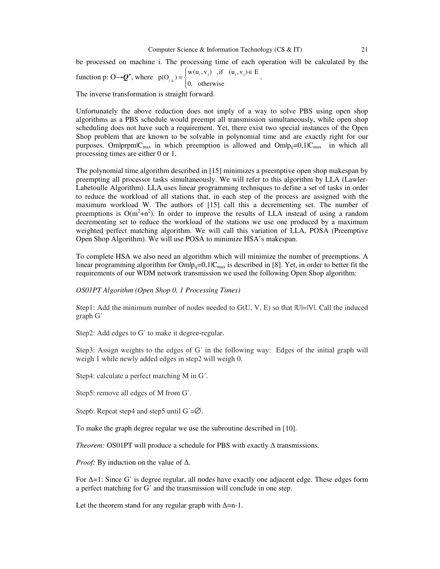The inverse transformation is straight forward.

Unfortunately the above reduction does not imply of a way to solve PBS using open shop algorithms as a PBS schedule would preempt all transmission simultaneously, while open shop scheduling does not have such a requirement. Yet, there exist two special instances of the Open Shop problem that are known to be solvable in polynomial time and are exactly right for our purposes. Om|prpm|C<sub>max</sub> in which preemption is allowed and Om|p<sub>ij</sub>=0,1|C<sub>max</sub> in which all processing times are either 0 or 1.

The polynomial time algorithm described in [15] minimizes a preemptive open shop makespan by preempting all processor tasks simultaneously. We will refer to this algorithm by LLA (Lawler-Labetoulle Algorithm). LLA uses linear programming techniques to define a set of tasks in order to reduce the workload of all stations that, in each step of the process are assigned with the maximum workload W. The authors of [15] call this a decrementing set. The number of preemptions is  $O(m^2+n^2)$ . In order to improve the results of LLA instead of using a random decrementing set to reduce the workload of the stations we use one produced by a maximum weighted perfect matching algorithm. We will call this variation of LLA, POSA (Preemptive Open Shop Algorithm). We will use POSA to minimize HSA's makespan.

To complete HSA we also need an algorithm which will minimize the number of preemptions. A linear programming algorithm for  $Omlp_{ii}=0,1|C<sub>max</sub>$  is described in [8]. Yet, in order to better fit the requirements of our WDM network transmission we used the following Open Shop algorithm:

*OS01PT Algorithm (Open Shop 0, 1 Processing Times)* 

Step1: Add the minimum number of nodes needed to  $G(U, V, E)$  so that  $|U|=|V|$ . Call the induced graph G΄

Step2: Add edges to G' to make it degree-regular.

Step3: Assign weights to the edges of G΄ in the following way: Edges of the initial graph will weigh 1 while newly added edges in step2 will weigh 0.

Step4: calculate a perfect matching M in G΄.

Step5: remove all edges of M from G΄.

Step6: Repeat step4 and step5 until G'=Ø.

To make the graph degree regular we use the subroutine described in [10].

*Theorem:* OS01PT will produce a schedule for PBS with exactly ∆ transmissions.

*Proof:* By induction on the value of ∆.

For ∆=1: Since G΄ is degree regular, all nodes have exactly one adjacent edge. These edges form a perfect matching for G΄ and the transmission will conclude in one step.

Let the theorem stand for any regular graph with  $\Delta$ =n-1.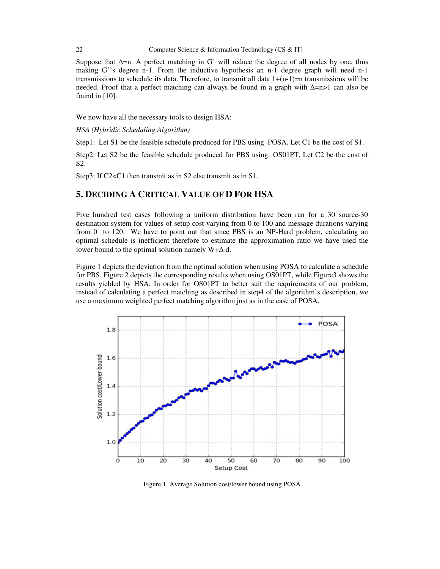#### 22 Computer Science & Information Technology (CS & IT)

Suppose that  $\Delta$ =n. A perfect matching in G' will reduce the degree of all nodes by one, thus making G<sup>'</sup>'s degree n-1. From the inductive hypothesis an n-1 degree graph will need n-1 transmissions to schedule its data. Therefore, to transmit all data  $1+(n-1)=n$  transmissions will be needed. Proof that a perfect matching can always be found in a graph with ∆=n>1 can also be found in [10].

We now have all the necessary tools to design HSA:

*HSA (Hybridic Scheduling Algorithm)* 

Step1: Let S1 be the feasible schedule produced for PBS using POSA. Let C1 be the cost of S1.

Step2: Let S2 be the feasible schedule produced for PBS using OS01PT. Let C2 be the cost of S2.

Step3: If C2<C1 then transmit as in S2 else transmit as in S1.

# **5. DECIDING A CRITICAL VALUE OF D FOR HSA**

Five hundred test cases following a uniform distribution have been ran for a 30 source-30 destination system for values of setup cost varying from 0 to 100 and message durations varying from 0 to 120. We have to point out that since PBS is an NP-Hard problem, calculating an optimal schedule is inefficient therefore to estimate the approximation ratio we have used the lower bound to the optimal solution namely W+∆⋅d.

Figure 1 depicts the deviation from the optimal solution when using POSA to calculate a schedule for PBS. Figure 2 depicts the corresponding results when using OS01PT, while Figure3 shows the results yielded by HSA. In order for OS01PT to better suit the requirements of our problem, instead of calculating a perfect matching as described in step4 of the algorithm's description, we use a maximum weighted perfect matching algorithm just as in the case of POSA.



Figure 1. Average Solution cost/lower bound using POSA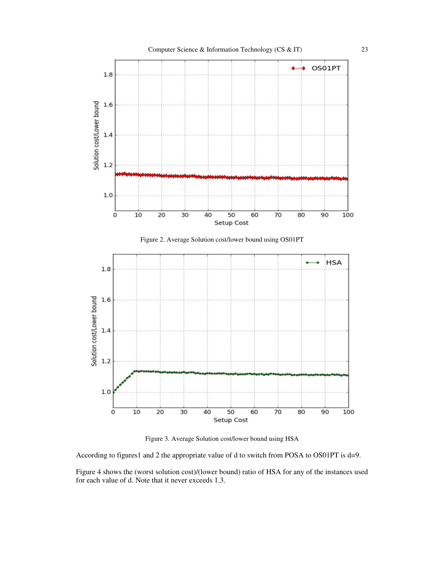





Figure 3. Average Solution cost/lower bound using HSA

According to figures1 and 2 the appropriate value of d to switch from POSA to OS01PT is d=9.

Figure 4 shows the (worst solution cost)/(lower bound) ratio of HSA for any of the instances used for each value of d. Note that it never exceeds 1.3.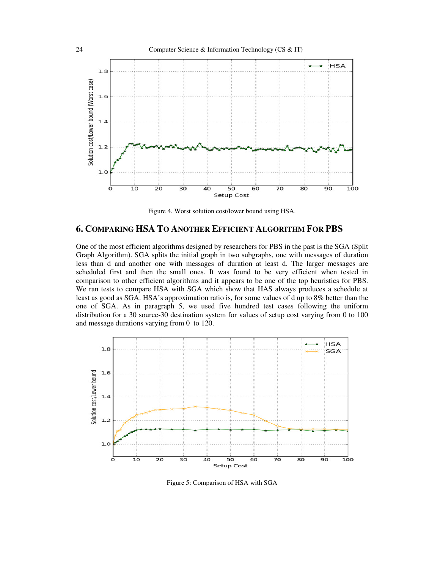

Figure 4. Worst solution cost/lower bound using HSA.

## **6. COMPARING HSA TO ANOTHER EFFICIENT ALGORITHM FOR PBS**

One of the most efficient algorithms designed by researchers for PBS in the past is the SGA (Split Graph Algorithm). SGA splits the initial graph in two subgraphs, one with messages of duration less than d and another one with messages of duration at least d. The larger messages are scheduled first and then the small ones. It was found to be very efficient when tested in comparison to other efficient algorithms and it appears to be one of the top heuristics for PBS. We ran tests to compare HSA with SGA which show that HAS always produces a schedule at least as good as SGA. HSA's approximation ratio is, for some values of d up to 8% better than the one of SGA. As in paragraph 5, we used five hundred test cases following the uniform distribution for a 30 source-30 destination system for values of setup cost varying from 0 to 100 and message durations varying from 0 to 120.



Figure 5: Comparison of HSA with SGA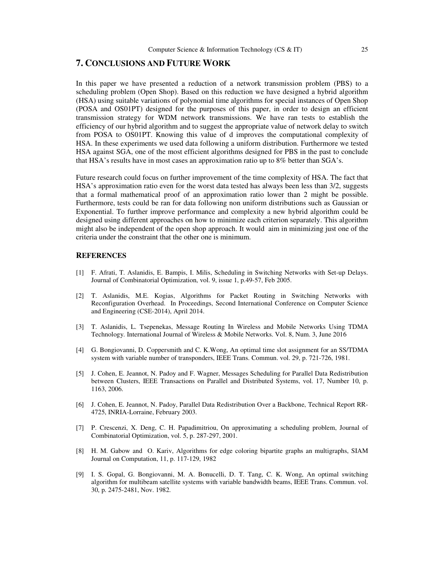## **7. CONCLUSIONS AND FUTURE WORK**

In this paper we have presented a reduction of a network transmission problem (PBS) to a scheduling problem (Open Shop). Based on this reduction we have designed a hybrid algorithm (HSA) using suitable variations of polynomial time algorithms for special instances of Open Shop (POSA and OS01PT) designed for the purposes of this paper, in order to design an efficient transmission strategy for WDM network transmissions. We have ran tests to establish the efficiency of our hybrid algorithm and to suggest the appropriate value of network delay to switch from POSA to OS01PT. Knowing this value of d improves the computational complexity of HSA. In these experiments we used data following a uniform distribution. Furthermore we tested HSA against SGA, one of the most efficient algorithms designed for PBS in the past to conclude that HSA's results have in most cases an approximation ratio up to 8% better than SGA's.

Future research could focus on further improvement of the time complexity of HSA. The fact that HSA's approximation ratio even for the worst data tested has always been less than 3/2, suggests that a formal mathematical proof of an approximation ratio lower than 2 might be possible. Furthermore, tests could be ran for data following non uniform distributions such as Gaussian or Exponential. To further improve performance and complexity a new hybrid algorithm could be designed using different approaches on how to minimize each criterion separately. This algorithm might also be independent of the open shop approach. It would aim in minimizing just one of the criteria under the constraint that the other one is minimum.

#### **REFERENCES**

- [1] F. Afrati, T. Aslanidis, E. Bampis, I. Milis, Scheduling in Switching Networks with Set-up Delays. Journal of Combinatorial Optimization, vol. 9, issue 1, p.49-57, Feb 2005.
- [2] T. Aslanidis, M.E. Kogias, Algorithms for Packet Routing in Switching Networks with Reconfiguration Overhead. In Proceedings, Second International Conference on Computer Science and Engineering (CSE-2014), April 2014.
- [3] T. Aslanidis, L. Tsepenekas, Message Routing In Wireless and Mobile Networks Using TDMA Technology. International Journal of Wireless & Mobile Networks. Vol. 8, Num. 3, June 2016
- [4] G. Bongiovanni, D. Coppersmith and C. K.Wong, An optimal time slot assignment for an SS/TDMA system with variable number of transponders, IEEE Trans. Commun. vol. 29, p. 721-726, 1981.
- [5] J. Cohen, E. Jeannot, N. Padoy and F. Wagner, Messages Scheduling for Parallel Data Redistribution between Clusters, IEEE Transactions on Parallel and Distributed Systems, vol. 17, Number 10, p. 1163, 2006.
- [6] J. Cohen, E. Jeannot, N. Padoy, Parallel Data Redistribution Over a Backbone, Technical Report RR-4725, INRIA-Lorraine, February 2003.
- [7] P. Crescenzi, X. Deng, C. H. Papadimitriou, On approximating a scheduling problem, Journal of Combinatorial Optimization, vol. 5, p. 287-297, 2001.
- [8] H. M. Gabow and O. Kariv, Algorithms for edge coloring bipartite graphs an multigraphs, SIAM Journal on Computation, 11, p. 117-129, 1982
- [9] I. S. Gopal, G. Bongiovanni, M. A. Bonucelli, D. T. Tang, C. K. Wong, An optimal switching algorithm for multibeam satellite systems with variable bandwidth beams, IEEE Trans. Commun. vol. 30, p. 2475-2481, Nov. 1982.